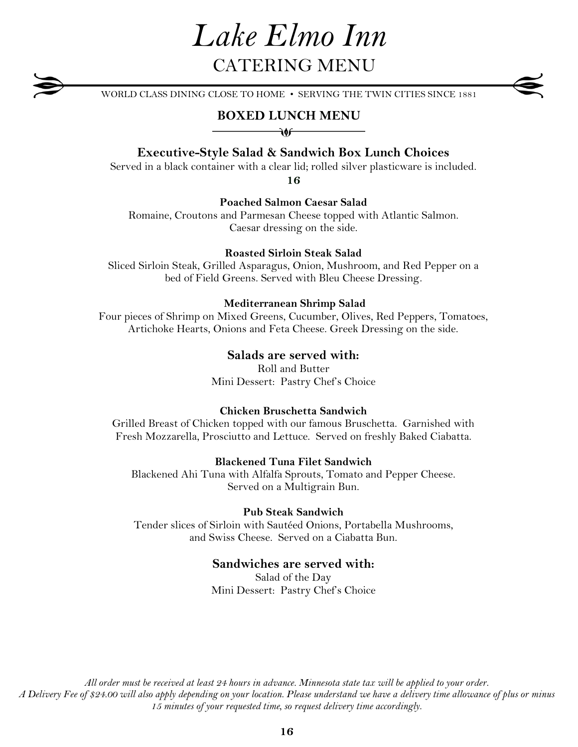# *Lake Elmo Inn* CATERING MENU

WORLD CLASS DINING CLOSE TO HOME • SERVING THE TWIN CITIES SINCE 1881

## **BOXED LUNCH MENU**  $\overline{\mathbf{v}}$

# **Executive-Style Salad & Sandwich Box Lunch Choices**

Served in a black container with a clear lid; rolled silver plasticware is included.

**16**

### **Poached Salmon Caesar Salad**

Romaine, Croutons and Parmesan Cheese topped with Atlantic Salmon. Caesar dressing on the side.

#### **Roasted Sirloin Steak Salad**

Sliced Sirloin Steak, Grilled Asparagus, Onion, Mushroom, and Red Pepper on a bed of Field Greens. Served with Bleu Cheese Dressing.

#### **Mediterranean Shrimp Salad**

Four pieces of Shrimp on Mixed Greens, Cucumber, Olives, Red Peppers, Tomatoes, Artichoke Hearts, Onions and Feta Cheese. Greek Dressing on the side.

### **Salads are served with:**

Roll and Butter Mini Dessert: Pastry Chef's Choice

#### **Chicken Bruschetta Sandwich**

Grilled Breast of Chicken topped with our famous Bruschetta. Garnished with Fresh Mozzarella, Prosciutto and Lettuce. Served on freshly Baked Ciabatta.

#### **Blackened Tuna Filet Sandwich**

Blackened Ahi Tuna with Alfalfa Sprouts, Tomato and Pepper Cheese. Served on a Multigrain Bun.

## **Pub Steak Sandwich**

Tender slices of Sirloin with Sautéed Onions, Portabella Mushrooms, and Swiss Cheese. Served on a Ciabatta Bun.

### **Sandwiches are served with:**

Salad of the Day Mini Dessert: Pastry Chef's Choice

*All order must be received at least 24 hours in advance. Minnesota state tax will be applied to your order. A Delivery Fee of \$24.00 will also apply depending on your location. Please understand we have a delivery time allowance of plus or minus 15 minutes of your requested time, so request delivery time accordingly.*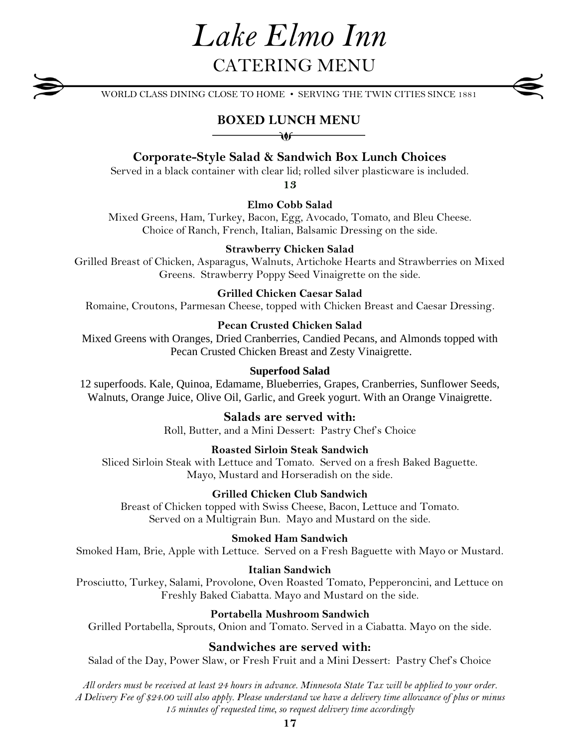# *Lake Elmo Inn* CATERING MENU

WORLD CLASS DINING CLOSE TO HOME • SERVING THE TWIN CITIES SINCE 1881

# **BOXED LUNCH MENU**

# **Corporate-Style Salad & Sandwich Box Lunch Choices**

Served in a black container with clear lid; rolled silver plasticware is included.

**13**

**Elmo Cobb Salad**

Mixed Greens, Ham, Turkey, Bacon, Egg, Avocado, Tomato, and Bleu Cheese. Choice of Ranch, French, Italian, Balsamic Dressing on the side.

#### **Strawberry Chicken Salad**

Grilled Breast of Chicken, Asparagus, Walnuts, Artichoke Hearts and Strawberries on Mixed Greens. Strawberry Poppy Seed Vinaigrette on the side.

#### **Grilled Chicken Caesar Salad**

Romaine, Croutons, Parmesan Cheese, topped with Chicken Breast and Caesar Dressing.

#### **Pecan Crusted Chicken Salad**

Mixed Greens with Oranges, Dried Cranberries, Candied Pecans, and Almonds topped with Pecan Crusted Chicken Breast and Zesty Vinaigrette.

#### **Superfood Salad**

12 superfoods. Kale, Quinoa, Edamame, Blueberries, Grapes, Cranberries, Sunflower Seeds, Walnuts, Orange Juice, Olive Oil, Garlic, and Greek yogurt. With an Orange Vinaigrette.

## **Salads are served with:**

Roll, Butter, and a Mini Dessert: Pastry Chef's Choice

#### **Roasted Sirloin Steak Sandwich**

Sliced Sirloin Steak with Lettuce and Tomato. Served on a fresh Baked Baguette. Mayo, Mustard and Horseradish on the side.

#### **Grilled Chicken Club Sandwich**

Breast of Chicken topped with Swiss Cheese, Bacon, Lettuce and Tomato. Served on a Multigrain Bun. Mayo and Mustard on the side.

#### **Smoked Ham Sandwich**

Smoked Ham, Brie, Apple with Lettuce. Served on a Fresh Baguette with Mayo or Mustard.

#### **Italian Sandwich**

Prosciutto, Turkey, Salami, Provolone, Oven Roasted Tomato, Pepperoncini, and Lettuce on Freshly Baked Ciabatta. Mayo and Mustard on the side.

### **Portabella Mushroom Sandwich**

Grilled Portabella, Sprouts, Onion and Tomato. Served in a Ciabatta. Mayo on the side.

#### **Sandwiches are served with:**

Salad of the Day, Power Slaw, or Fresh Fruit and a Mini Dessert: Pastry Chef's Choice

*All orders must be received at least 24 hours in advance. Minnesota State Tax will be applied to your order. A Delivery Fee of \$24.00 will also apply. Please understand we have a delivery time allowance of plus or minus 15 minutes of requested time, so request delivery time accordingly*